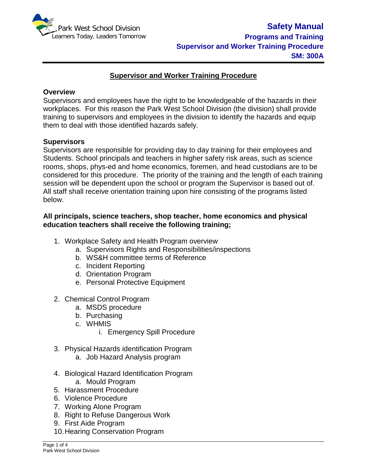

## **Supervisor and Worker Training Procedure**

#### **Overview**

Supervisors and employees have the right to be knowledgeable of the hazards in their workplaces. For this reason the Park West School Division (the division) shall provide training to supervisors and employees in the division to identify the hazards and equip them to deal with those identified hazards safely.

#### **Supervisors**

Supervisors are responsible for providing day to day training for their employees and Students. School principals and teachers in higher safety risk areas, such as science rooms, shops, phys-ed and home economics, foremen, and head custodians are to be considered for this procedure. The priority of the training and the length of each training session will be dependent upon the school or program the Supervisor is based out of. All staff shall receive orientation training upon hire consisting of the programs listed below.

## **All principals, science teachers, shop teacher, home economics and physical education teachers shall receive the following training;**

- 1. Workplace Safety and Health Program overview
	- a. Supervisors Rights and Responsibilities/inspections
	- b. WS&H committee terms of Reference
	- c. Incident Reporting
	- d. Orientation Program
	- e. Personal Protective Equipment
- 2. Chemical Control Program
	- a. MSDS procedure
	- b. Purchasing
	- c. WHMIS
		- i. Emergency Spill Procedure
- 3. Physical Hazards identification Program
	- a. Job Hazard Analysis program
- 4. Biological Hazard Identification Program a. Mould Program
- 5. Harassment Procedure
- 6. Violence Procedure
- 7. Working Alone Program
- 8. Right to Refuse Dangerous Work
- 9. First Aide Program
- 10.Hearing Conservation Program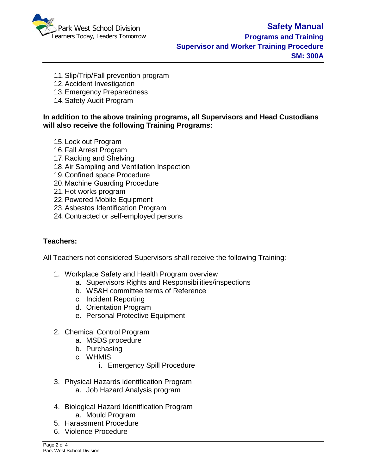

- 11.Slip/Trip/Fall prevention program
- 12.Accident Investigation
- 13.Emergency Preparedness
- 14.Safety Audit Program

### **In addition to the above training programs, all Supervisors and Head Custodians will also receive the following Training Programs:**

- 15.Lock out Program
- 16.Fall Arrest Program
- 17.Racking and Shelving
- 18.Air Sampling and Ventilation Inspection
- 19.Confined space Procedure
- 20.Machine Guarding Procedure
- 21.Hot works program
- 22.Powered Mobile Equipment
- 23.Asbestos Identification Program
- 24.Contracted or self-employed persons

### **Teachers:**

All Teachers not considered Supervisors shall receive the following Training:

- 1. Workplace Safety and Health Program overview
	- a. Supervisors Rights and Responsibilities/inspections
	- b. WS&H committee terms of Reference
	- c. Incident Reporting
	- d. Orientation Program
	- e. Personal Protective Equipment
- 2. Chemical Control Program
	- a. MSDS procedure
	- b. Purchasing
	- c. WHMIS
		- i. Emergency Spill Procedure
- 3. Physical Hazards identification Program
	- a. Job Hazard Analysis program
- 4. Biological Hazard Identification Program a. Mould Program
- 5. Harassment Procedure
- 6. Violence Procedure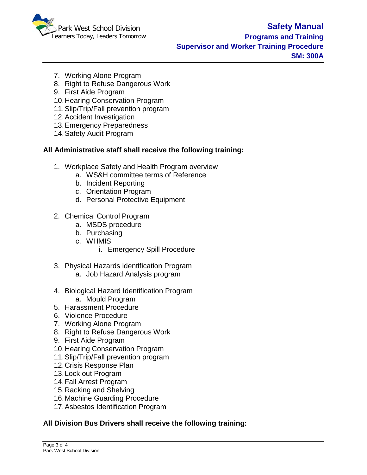

- 7. Working Alone Program
- 8. Right to Refuse Dangerous Work
- 9. First Aide Program
- 10.Hearing Conservation Program
- 11.Slip/Trip/Fall prevention program
- 12.Accident Investigation
- 13.Emergency Preparedness
- 14.Safety Audit Program

# **All Administrative staff shall receive the following training:**

- 1. Workplace Safety and Health Program overview
	- a. WS&H committee terms of Reference
		- b. Incident Reporting
		- c. Orientation Program
		- d. Personal Protective Equipment
- 2. Chemical Control Program
	- a. MSDS procedure
	- b. Purchasing
	- c. WHMIS
		- i. Emergency Spill Procedure
- 3. Physical Hazards identification Program
	- a. Job Hazard Analysis program
- 4. Biological Hazard Identification Program a. Mould Program
- 5. Harassment Procedure
- 6. Violence Procedure
- 7. Working Alone Program
- 8. Right to Refuse Dangerous Work
- 9. First Aide Program
- 10.Hearing Conservation Program
- 11.Slip/Trip/Fall prevention program
- 12.Crisis Response Plan
- 13.Lock out Program
- 14.Fall Arrest Program
- 15.Racking and Shelving
- 16.Machine Guarding Procedure
- 17.Asbestos Identification Program

# **All Division Bus Drivers shall receive the following training:**